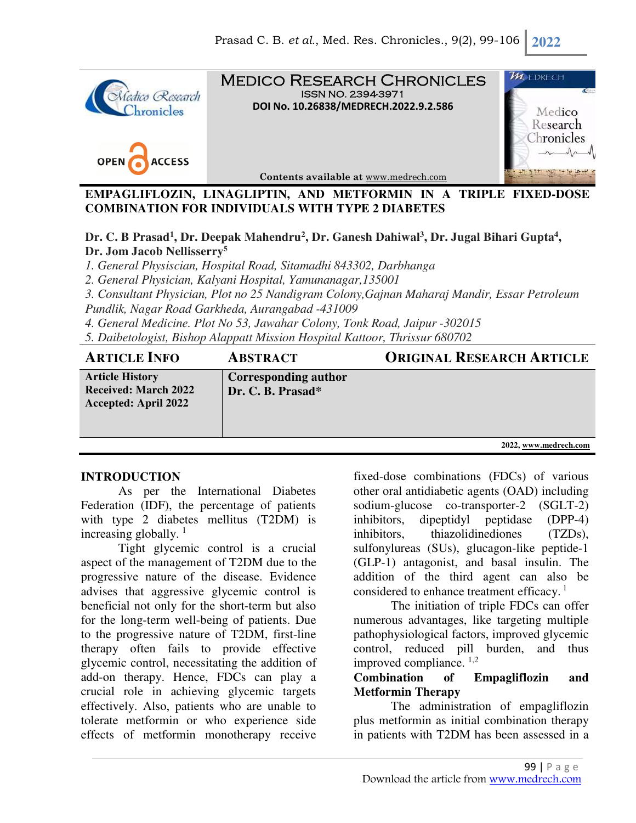

**EMPAGLIFLOZIN, LINAGLIPTIN, AND METFORMIN IN A TRIPLE FIXED-DOSE COMBINATION FOR INDIVIDUALS WITH TYPE 2 DIABETES** 

**Dr. C. B Prasad<sup>1</sup> , Dr. Deepak Mahendru<sup>2</sup> , Dr. Ganesh Dahiwal<sup>3</sup> , Dr. Jugal Bihari Gupta<sup>4</sup> , Dr. Jom Jacob Nellisserry<sup>5</sup>**

*1. General Physiscian, Hospital Road, Sitamadhi 843302, Darbhanga* 

*2. General Physician, Kalyani Hospital, Yamunanagar,135001* 

*3. Consultant Physician, Plot no 25 Nandigram Colony,Gajnan Maharaj Mandir, Essar Petroleum* 

*Pundlik, Nagar Road Garkheda, Aurangabad -431009* 

*4. General Medicine. Plot No 53, Jawahar Colony, Tonk Road, Jaipur -302015* 

*5. Daibetologist, Bishop Alappatt Mission Hospital Kattoor, Thrissur 680702*

**ARTICLE INFO ABSTRACT ORIGINAL RESEARCH ARTICLE**

**Article History Received: March 2022 Accepted: April 2022** 

**Corresponding author Dr. C. B. Prasad\***

**2022, www.medrech.com** 

### **INTRODUCTION**

As per the International Diabetes Federation (IDF), the percentage of patients with type 2 diabetes mellitus (T2DM) is increasing globally.  $\frac{1}{1}$ 

Tight glycemic control is a crucial aspect of the management of T2DM due to the progressive nature of the disease. Evidence advises that aggressive glycemic control is beneficial not only for the short-term but also for the long-term well-being of patients. Due to the progressive nature of T2DM, first-line therapy often fails to provide effective glycemic control, necessitating the addition of add-on therapy. Hence, FDCs can play a crucial role in achieving glycemic targets effectively. Also, patients who are unable to tolerate metformin or who experience side effects of metformin monotherapy receive

fixed-dose combinations (FDCs) of various other oral antidiabetic agents (OAD) including sodium-glucose co-transporter-2 (SGLT-2) inhibitors, dipeptidyl peptidase (DPP-4) inhibitors, thiazolidinediones (TZDs), sulfonylureas (SUs), glucagon-like peptide-1 (GLP-1) antagonist, and basal insulin. The addition of the third agent can also be considered to enhance treatment efficacy.<sup>1</sup>

The initiation of triple FDCs can offer numerous advantages, like targeting multiple pathophysiological factors, improved glycemic control, reduced pill burden, and thus improved compliance.  $1,2$ 

# **Combination of Empagliflozin and Metformin Therapy**

The administration of empagliflozin plus metformin as initial combination therapy in patients with T2DM has been assessed in a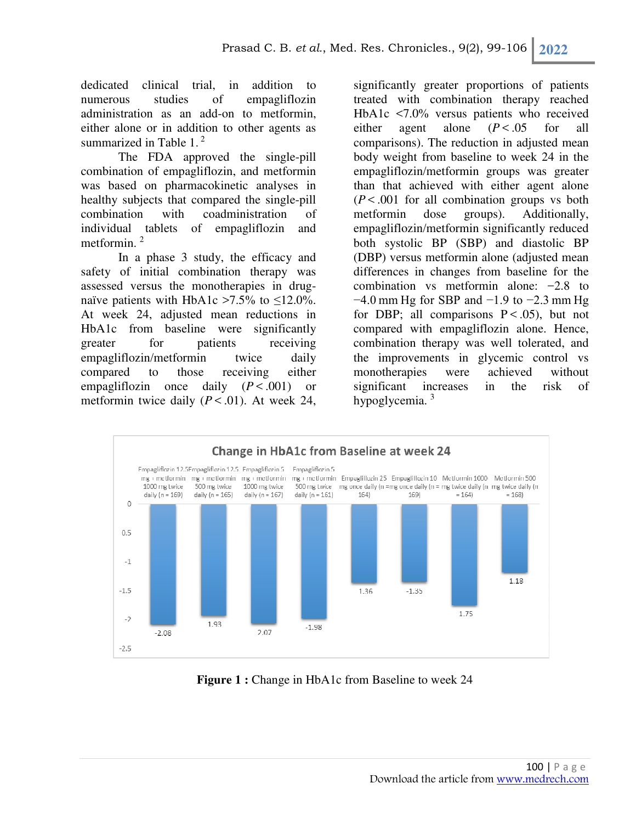dedicated clinical trial, in addition to numerous studies of empagliflozin administration as an add-on to metformin, either alone or in addition to other agents as summarized in Table  $1<sup>2</sup>$ 

The FDA approved the single-pill combination of empagliflozin, and metformin was based on pharmacokinetic analyses in healthy subjects that compared the single-pill combination with coadministration of individual tablets of empagliflozin and metformin.<sup>2</sup>

In a phase 3 study, the efficacy and safety of initial combination therapy was assessed versus the monotherapies in drugnaïve patients with HbA1c >7.5% to  $\leq$ 12.0%. At week 24, adjusted mean reductions in HbA1c from baseline were significantly greater for patients receiving empagliflozin/metformin twice daily compared to those receiving either empagliflozin once daily  $(P < .001)$  or metformin twice daily  $(P < .01)$ . At week 24,

significantly greater proportions of patients treated with combination therapy reached HbA1c <7.0% versus patients who received either agent alone  $(P < .05$  for all comparisons). The reduction in adjusted mean body weight from baseline to week 24 in the empagliflozin/metformin groups was greater than that achieved with either agent alone (*P* < .001 for all combination groups vs both metformin dose groups). Additionally, empagliflozin/metformin significantly reduced both systolic BP (SBP) and diastolic BP (DBP) versus metformin alone (adjusted mean differences in changes from baseline for the combination vs metformin alone: −2.8 to −4.0 mm Hg for SBP and −1.9 to −2.3 mm Hg for DBP; all comparisons  $P < .05$ ), but not compared with empagliflozin alone. Hence, combination therapy was well tolerated, and the improvements in glycemic control vs monotherapies were achieved without significant increases in the risk of hypoglycemia. <sup>3</sup>



**Figure 1 :** Change in HbA1c from Baseline to week 24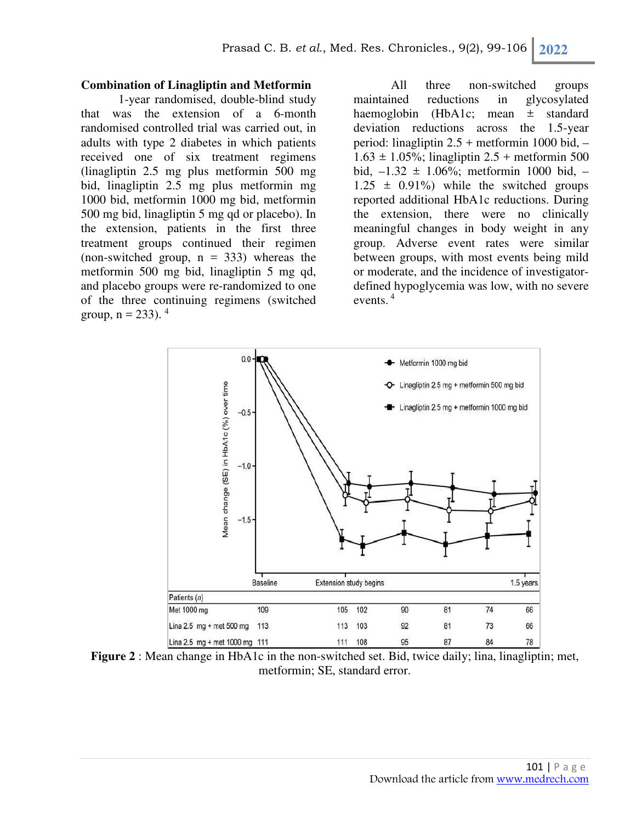### **Combination of Linagliptin and Metformin**

1-year randomised, double-blind study that was the extension of a 6-month randomised controlled trial was carried out, in adults with type 2 diabetes in which patients received one of six treatment regimens (linagliptin 2.5 mg plus metformin 500 mg bid, linagliptin 2.5 mg plus metformin mg 1000 bid, metformin 1000 mg bid, metformin 500 mg bid, linagliptin 5 mg qd or placebo). In the extension, patients in the first three treatment groups continued their regimen (non-switched group,  $n = 333$ ) whereas the metformin 500 mg bid, linagliptin 5 mg qd, and placebo groups were re-randomized to one of the three continuing regimens (switched group,  $n = 233$ ).  $4^{-1}$ 

All three non-switched groups maintained reductions in glycosylated haemoglobin (HbA1c; mean  $\pm$  standard deviation reductions across the 1.5-year period: linagliptin 2.5 + metformin 1000 bid, –  $1.63 \pm 1.05\%$ ; linagliptin  $2.5 +$  metformin 500 bid,  $-1.32 \pm 1.06\%$ ; metformin 1000 bid,  $1.25 \pm 0.91\%$  while the switched groups reported additional HbA1c reductions. During the extension, there were no clinically meaningful changes in body weight in any group. Adverse event rates were similar between groups, with most events being mild or moderate, and the incidence of investigatordefined hypoglycemia was low, with no severe events.<sup>4</sup>



**Figure 2** : Mean change in HbA1c in the non-switched set. Bid, twice daily; lina, linagliptin; met, metformin; SE, standard error.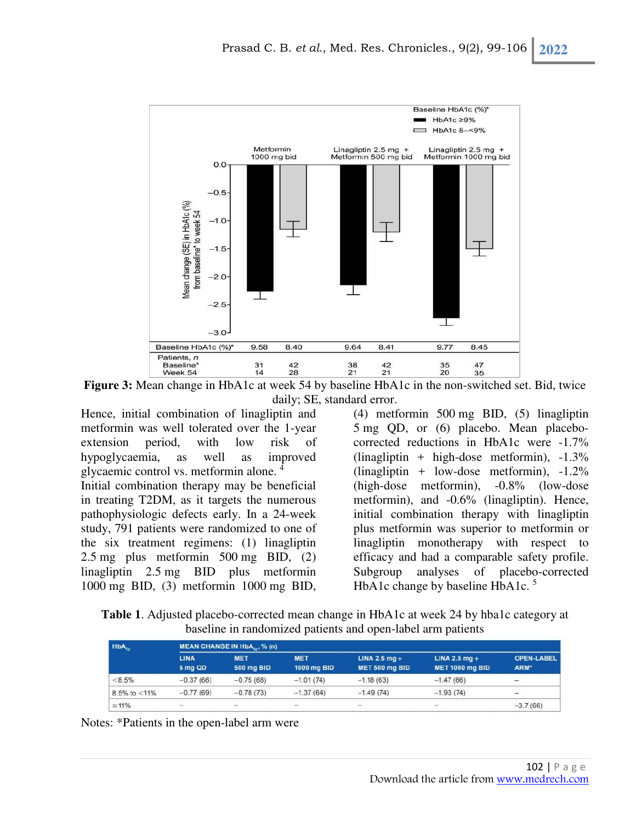

**Figure 3:** Mean change in HbA1c at week 54 by baseline HbA1c in the non-switched set. Bid, twice daily; SE, standard error.

Hence, initial combination of linagliptin and metformin was well tolerated over the 1-year extension period, with low risk of hypoglycaemia, as well as improved glycaemic control vs. metformin alone. <sup>4</sup> Initial combination therapy may be beneficial in treating T2DM, as it targets the numerous pathophysiologic defects early. In a 24-week study, 791 patients were randomized to one of the six treatment regimens: (1) linagliptin 2.5 mg plus metformin 500 mg BID, (2) linagliptin 2.5 mg BID plus metformin 1000 mg BID, (3) metformin 1000 mg BID,

(4) metformin 500 mg BID, (5) linagliptin 5 mg QD, or (6) placebo. Mean placebocorrected reductions in HbA1c were -1.7%  $($ linagliptin + high-dose metformin $)$ , -1.3%  $($ linagliptin + low-dose metformin),  $-1.2\%$ (high-dose metformin), -0.8% (low-dose metformin), and -0.6% (linagliptin). Hence, initial combination therapy with linagliptin plus metformin was superior to metformin or linagliptin monotherapy with respect to efficacy and had a comparable safety profile. Subgroup analyses of placebo-corrected HbA1c change by baseline HbA1c.<sup>5</sup>

**Table 1**. Adjusted placebo-corrected mean change in HbA1c at week 24 by hba1c category at baseline in randomized patients and open-label arm patients

| HbA <sub>1c</sub>  |                        | MEAN CHANGE IN HbA, % (n)       |                           |                                   |                                           |                           |
|--------------------|------------------------|---------------------------------|---------------------------|-----------------------------------|-------------------------------------------|---------------------------|
|                    | <b>LINA</b><br>5 mg QD | <b>MET</b><br><b>500 mg BID</b> | <b>MET</b><br>1000 mg BID | LINA 2.5 $mq +$<br>MET 500 mg BID | LINA 2.5 $mg +$<br><b>MET 1000 mg BID</b> | <b>OPEN-LABEL</b><br>ARM* |
| < 8.5%             | $-0.37(66)$            | $-0.75(68)$                     | $-1.01(74)$               | $-1.18(63)$                       | $-1.47(66)$                               | ÷                         |
| $8.5\%$ to $<$ 11% | $-0.77(69)$            | $-0.78(73)$                     | $-1.37(64)$               | $-1.49(74)$                       | $-1.93(74)$                               | Corp.                     |
| $\geq 11\%$        | -                      | $\frac{1}{2}$                   | ÷.                        | $\sim$                            | $\overline{\phantom{a}}$                  | $-3.7(66)$                |

Notes: \*Patients in the open-label arm were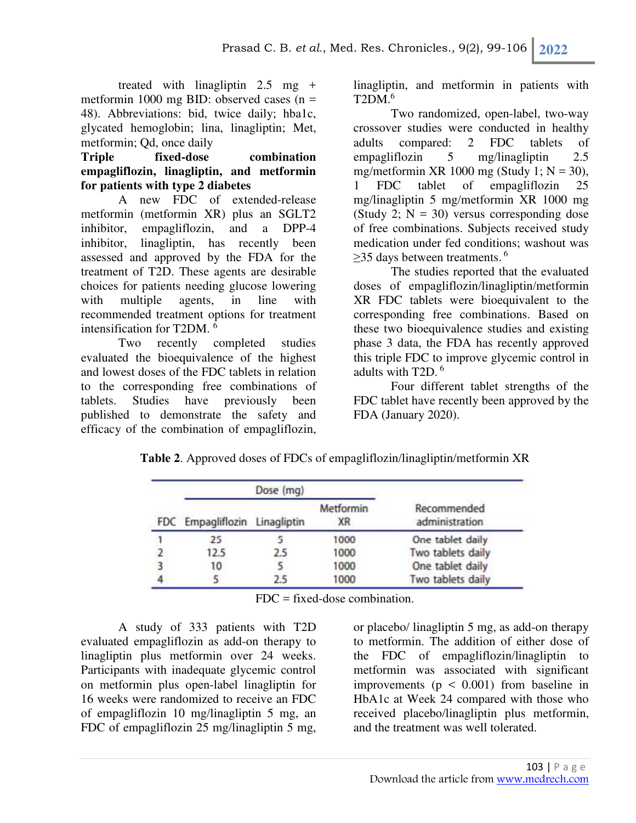treated with linagliptin 2.5 mg + metformin 1000 mg BID: observed cases (n = 48). Abbreviations: bid, twice daily; hba1c, glycated hemoglobin; lina, linagliptin; Met, metformin; Qd, once daily

**Triple fixed-dose combination empagliflozin, linagliptin, and metformin for patients with type 2 diabetes** 

A new FDC of extended-release metformin (metformin XR) plus an SGLT2 inhibitor, empagliflozin, and a DPP-4 inhibitor, linagliptin, has recently been assessed and approved by the FDA for the treatment of T2D. These agents are desirable choices for patients needing glucose lowering with multiple agents, in line with recommended treatment options for treatment intensification for T2DM.  $\frac{1}{2}$ 

Two recently completed studies evaluated the bioequivalence of the highest and lowest doses of the FDC tablets in relation to the corresponding free combinations of tablets. Studies have previously been published to demonstrate the safety and efficacy of the combination of empagliflozin,

linagliptin, and metformin in patients with  $T2DM<sup>6</sup>$ 

Two randomized, open-label, two-way crossover studies were conducted in healthy adults compared: 2 FDC tablets of empagliflozin 5 mg/linagliptin 2.5 mg/metformin XR 1000 mg (Study 1;  $N = 30$ ), 1 FDC tablet of empagliflozin 25 mg/linagliptin 5 mg/metformin XR 1000 mg (Study 2;  $N = 30$ ) versus corresponding dose of free combinations. Subjects received study medication under fed conditions; washout was  $\geq$ 35 days between treatments.<sup>6</sup>

The studies reported that the evaluated doses of empagliflozin/linagliptin/metformin XR FDC tablets were bioequivalent to the corresponding free combinations. Based on these two bioequivalence studies and existing phase 3 data, the FDA has recently approved this triple FDC to improve glycemic control in adults with  $T2D<sup>6</sup>$ 

Four different tablet strengths of the FDC tablet have recently been approved by the FDA (January 2020).

|  |  | Table 2. Approved doses of FDCs of empagliflozin/linagliptin/metformin XR |
|--|--|---------------------------------------------------------------------------|
|--|--|---------------------------------------------------------------------------|

| FDC Empagliflozin Linagliptin |     | Metformin<br>XR | Recommended<br>administration |
|-------------------------------|-----|-----------------|-------------------------------|
|                               |     | 1000            | One tablet daily              |
| 12.5                          | 2.5 | 1000            | Two tablets daily             |
| 10                            |     | 1000            | One tablet daily              |
|                               | 2.5 | 1000            | Two tablets daily             |

FDC = fixed-dose combination.

A study of 333 patients with T2D evaluated empagliflozin as add-on therapy to linagliptin plus metformin over 24 weeks. Participants with inadequate glycemic control on metformin plus open-label linagliptin for 16 weeks were randomized to receive an FDC of empagliflozin 10 mg/linagliptin 5 mg, an FDC of empagliflozin 25 mg/linagliptin 5 mg,

or placebo/ linagliptin 5 mg, as add-on therapy to metformin. The addition of either dose of the FDC of empagliflozin/linagliptin to metformin was associated with significant improvements ( $p < 0.001$ ) from baseline in HbA1c at Week 24 compared with those who received placebo/linagliptin plus metformin, and the treatment was well tolerated.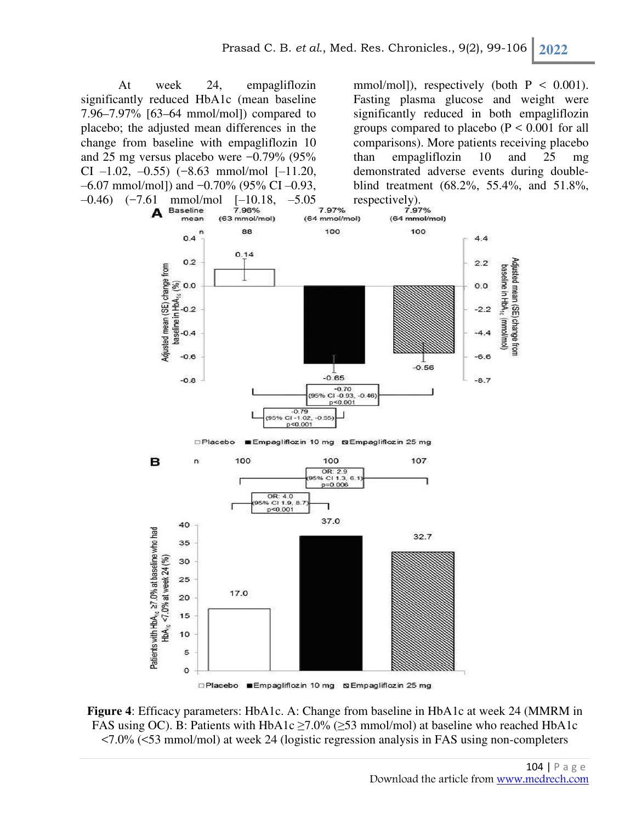At week 24, empagliflozin significantly reduced HbA1c (mean baseline 7.96–7.97% [63–64 mmol/mol]) compared to placebo; the adjusted mean differences in the change from baseline with empagliflozin 10 and 25 mg versus placebo were −0.79% (95% CI  $-1.02$ ,  $-0.55$ )  $(-8.63$  mmol/mol  $[-11.20,$  $-6.07$  mmol/mol]) and  $-0.70\%$  (95% CI  $-0.93$ ,

mmol/mol]), respectively (both  $P < 0.001$ ). Fasting plasma glucose and weight were significantly reduced in both empagliflozin groups compared to placebo  $(P < 0.001$  for all comparisons). More patients receiving placebo than empagliflozin 10 and 25 mg demonstrated adverse events during doubleblind treatment (68.2%, 55.4%, and 51.8%,



□Placebo **■Empagliflozin 10 mg SEmpagliflozin 25 mg** 

**Figure 4**: Efficacy parameters: HbA1c. A: Change from baseline in HbA1c at week 24 (MMRM in FAS using OC). B: Patients with HbA1c  $\geq$ 7.0% ( $\geq$ 53 mmol/mol) at baseline who reached HbA1c <7.0% (<53 mmol/mol) at week 24 (logistic regression analysis in FAS using non-completers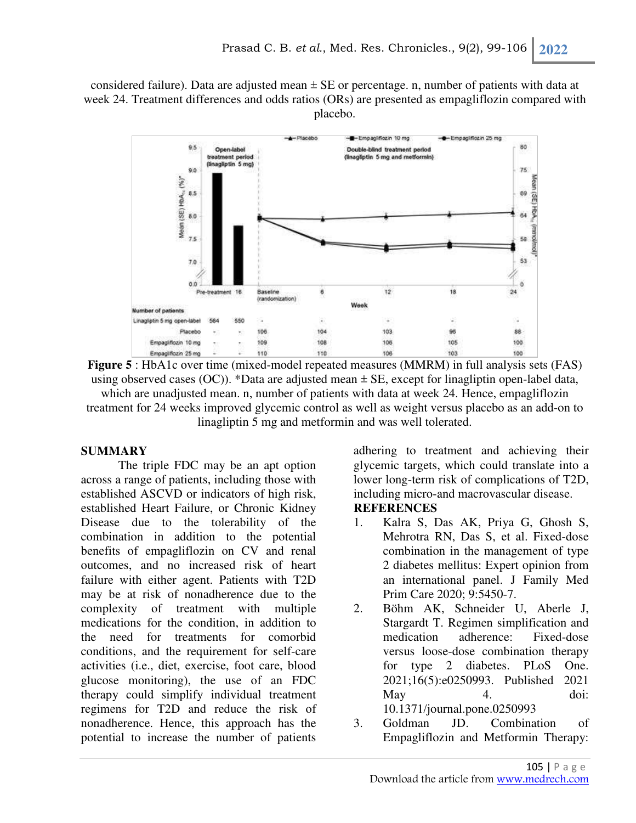considered failure). Data are adjusted mean  $\pm$  SE or percentage. n, number of patients with data at week 24. Treatment differences and odds ratios (ORs) are presented as empagliflozin compared with placebo.



**Figure 5** : HbA1c over time (mixed-model repeated measures (MMRM) in full analysis sets (FAS) using observed cases (OC)). \*Data are adjusted mean  $\pm$  SE, except for linagliptin open-label data, which are unadjusted mean. n, number of patients with data at week 24. Hence, empagliflozin treatment for 24 weeks improved glycemic control as well as weight versus placebo as an add-on to linagliptin 5 mg and metformin and was well tolerated.

## **SUMMARY**

The triple FDC may be an apt option across a range of patients, including those with established ASCVD or indicators of high risk, established Heart Failure, or Chronic Kidney Disease due to the tolerability of the combination in addition to the potential benefits of empagliflozin on CV and renal outcomes, and no increased risk of heart failure with either agent. Patients with T2D may be at risk of nonadherence due to the complexity of treatment with multiple medications for the condition, in addition to the need for treatments for comorbid conditions, and the requirement for self-care activities (i.e., diet, exercise, foot care, blood glucose monitoring), the use of an FDC therapy could simplify individual treatment regimens for T2D and reduce the risk of nonadherence. Hence, this approach has the potential to increase the number of patients adhering to treatment and achieving their glycemic targets, which could translate into a lower long-term risk of complications of T2D, including micro-and macrovascular disease. **REFERENCES** 

# 1. Kalra S, Das AK, Priya G, Ghosh S, Mehrotra RN, Das S, et al. Fixed-dose combination in the management of type 2 diabetes mellitus: Expert opinion from an international panel. J Family Med Prim Care 2020; 9:5450-7.

- 2. Böhm AK, Schneider U, Aberle J, Stargardt T. Regimen simplification and medication adherence: Fixed-dose versus loose-dose combination therapy for type 2 diabetes. PLoS One. 2021;16(5):e0250993. Published 2021 May 4. doi: 10.1371/journal.pone.0250993
- 3. Goldman JD. Combination of Empagliflozin and Metformin Therapy: